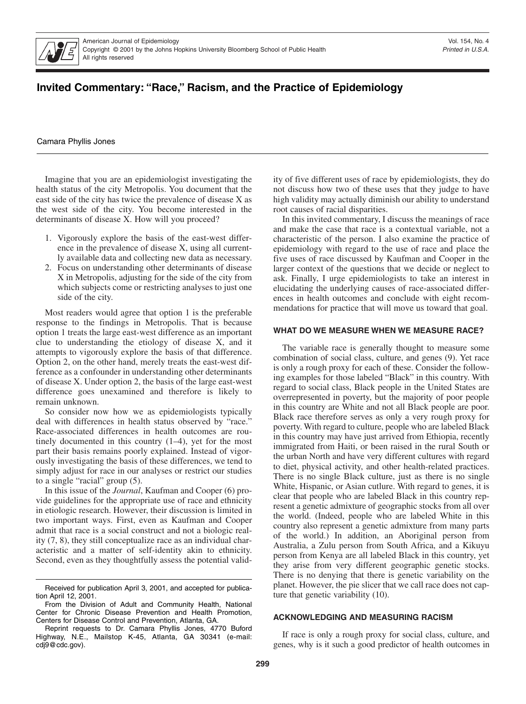

# **Invited Commentary: "Race," Racism, and the Practice of Epidemiology**

#### Camara Phyllis Jones

Imagine that you are an epidemiologist investigating the health status of the city Metropolis. You document that the east side of the city has twice the prevalence of disease X as the west side of the city. You become interested in the determinants of disease X. How will you proceed?

"Race," Racism, and the Practice of Epidemiology Jones

- 1. Vigorously explore the basis of the east-west difference in the prevalence of disease X, using all currently available data and collecting new data as necessary.
- 2. Focus on understanding other determinants of disease X in Metropolis, adjusting for the side of the city from which subjects come or restricting analyses to just one side of the city.

Most readers would agree that option 1 is the preferable response to the findings in Metropolis. That is because option 1 treats the large east-west difference as an important clue to understanding the etiology of disease X, and it attempts to vigorously explore the basis of that difference. Option 2, on the other hand, merely treats the east-west difference as a confounder in understanding other determinants of disease X. Under option 2, the basis of the large east-west difference goes unexamined and therefore is likely to remain unknown.

So consider now how we as epidemiologists typically deal with differences in health status observed by "race." Race-associated differences in health outcomes are routinely documented in this country (1–4), yet for the most part their basis remains poorly explained. Instead of vigorously investigating the basis of these differences, we tend to simply adjust for race in our analyses or restrict our studies to a single "racial" group (5).

In this issue of the *Journal*, Kaufman and Cooper (6) provide guidelines for the appropriate use of race and ethnicity in etiologic research. However, their discussion is limited in two important ways. First, even as Kaufman and Cooper admit that race is a social construct and not a biologic reality (7, 8), they still conceptualize race as an individual characteristic and a matter of self-identity akin to ethnicity. Second, even as they thoughtfully assess the potential validity of five different uses of race by epidemiologists, they do not discuss how two of these uses that they judge to have high validity may actually diminish our ability to understand root causes of racial disparities.

In this invited commentary, I discuss the meanings of race and make the case that race is a contextual variable, not a characteristic of the person. I also examine the practice of epidemiology with regard to the use of race and place the five uses of race discussed by Kaufman and Cooper in the larger context of the questions that we decide or neglect to ask. Finally, I urge epidemiologists to take an interest in elucidating the underlying causes of race-associated differences in health outcomes and conclude with eight recommendations for practice that will move us toward that goal.

### **WHAT DO WE MEASURE WHEN WE MEASURE RACE?**

The variable race is generally thought to measure some combination of social class, culture, and genes (9). Yet race is only a rough proxy for each of these. Consider the following examples for those labeled "Black" in this country. With regard to social class, Black people in the United States are overrepresented in poverty, but the majority of poor people in this country are White and not all Black people are poor. Black race therefore serves as only a very rough proxy for poverty. With regard to culture, people who are labeled Black in this country may have just arrived from Ethiopia, recently immigrated from Haiti, or been raised in the rural South or the urban North and have very different cultures with regard to diet, physical activity, and other health-related practices. There is no single Black culture, just as there is no single White, Hispanic, or Asian cutlure. With regard to genes, it is clear that people who are labeled Black in this country represent a genetic admixture of geographic stocks from all over the world. (Indeed, people who are labeled White in this country also represent a genetic admixture from many parts of the world.) In addition, an Aboriginal person from Australia, a Zulu person from South Africa, and a Kikuyu person from Kenya are all labeled Black in this country, yet they arise from very different geographic genetic stocks. There is no denying that there is genetic variability on the planet. However, the pie slicer that we call race does not capture that genetic variability (10).

# **ACKNOWLEDGING AND MEASURING RACISM**

If race is only a rough proxy for social class, culture, and genes, why is it such a good predictor of health outcomes in

Received for publication April 3, 2001, and accepted for publication April 12, 2001.

From the Division of Adult and Community Health, National Center for Chronic Disease Prevention and Health Promotion, Centers for Disease Control and Prevention, Atlanta, GA.

Reprint requests to Dr. Camara Phyllis Jones, 4770 Buford Highway, N.E., Mailstop K-45, Atlanta, GA 30341 (e-mail: cdj9@cdc.gov).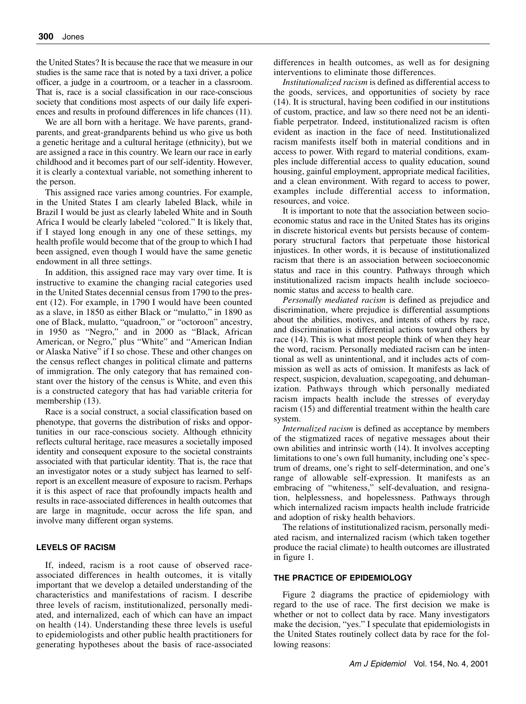the United States? It is because the race that we measure in our studies is the same race that is noted by a taxi driver, a police officer, a judge in a courtroom, or a teacher in a classroom. That is, race is a social classification in our race-conscious society that conditions most aspects of our daily life experiences and results in profound differences in life chances (11).

We are all born with a heritage. We have parents, grandparents, and great-grandparents behind us who give us both a genetic heritage and a cultural heritage (ethnicity), but we are assigned a race in this country. We learn our race in early childhood and it becomes part of our self-identity. However, it is clearly a contextual variable, not something inherent to the person.

This assigned race varies among countries. For example, in the United States I am clearly labeled Black, while in Brazil I would be just as clearly labeled White and in South Africa I would be clearly labeled "colored." It is likely that, if I stayed long enough in any one of these settings, my health profile would become that of the group to which I had been assigned, even though I would have the same genetic endowment in all three settings.

In addition, this assigned race may vary over time. It is instructive to examine the changing racial categories used in the United States decennial census from 1790 to the present (12). For example, in 1790 I would have been counted as a slave, in 1850 as either Black or "mulatto," in 1890 as one of Black, mulatto, "quadroon," or "octoroon" ancestry, in 1950 as "Negro," and in 2000 as "Black, African American, or Negro," plus "White" and "American Indian or Alaska Native" if I so chose. These and other changes on the census reflect changes in political climate and patterns of immigration. The only category that has remained constant over the history of the census is White, and even this is a constructed category that has had variable criteria for membership (13).

Race is a social construct, a social classification based on phenotype, that governs the distribution of risks and opportunities in our race-conscious society. Although ethnicity reflects cultural heritage, race measures a societally imposed identity and consequent exposure to the societal constraints associated with that particular identity. That is, the race that an investigator notes or a study subject has learned to selfreport is an excellent measure of exposure to racism. Perhaps it is this aspect of race that profoundly impacts health and results in race-associated differences in health outcomes that are large in magnitude, occur across the life span, and involve many different organ systems.

# **LEVELS OF RACISM**

If, indeed, racism is a root cause of observed raceassociated differences in health outcomes, it is vitally important that we develop a detailed understanding of the characteristics and manifestations of racism. I describe three levels of racism, institutionalized, personally mediated, and internalized, each of which can have an impact on health (14). Understanding these three levels is useful to epidemiologists and other public health practitioners for generating hypotheses about the basis of race-associated

differences in health outcomes, as well as for designing interventions to eliminate those differences.

*Institutionalized racism* is defined as differential access to the goods, services, and opportunities of society by race (14). It is structural, having been codified in our institutions of custom, practice, and law so there need not be an identifiable perpetrator. Indeed, institutionalized racism is often evident as inaction in the face of need. Institutionalized racism manifests itself both in material conditions and in access to power. With regard to material conditions, examples include differential access to quality education, sound housing, gainful employment, appropriate medical facilities, and a clean environment. With regard to access to power, examples include differential access to information, resources, and voice.

It is important to note that the association between socioeconomic status and race in the United States has its origins in discrete historical events but persists because of contemporary structural factors that perpetuate those historical injustices. In other words, it is because of institutionalized racism that there is an association between socioeconomic status and race in this country. Pathways through which institutionalized racism impacts health include socioeconomic status and access to health care.

*Personally mediated racism* is defined as prejudice and discrimination, where prejudice is differential assumptions about the abilities, motives, and intents of others by race, and discrimination is differential actions toward others by race (14). This is what most people think of when they hear the word, racism. Personally mediated racism can be intentional as well as unintentional, and it includes acts of commission as well as acts of omission. It manifests as lack of respect, suspicion, devaluation, scapegoating, and dehumanization. Pathways through which personally mediated racism impacts health include the stresses of everyday racism (15) and differential treatment within the health care system.

*Internalized racism* is defined as acceptance by members of the stigmatized races of negative messages about their own abilities and intrinsic worth (14). It involves accepting limitations to one's own full humanity, including one's spectrum of dreams, one's right to self-determination, and one's range of allowable self-expression. It manifests as an embracing of "whiteness," self-devaluation, and resignation, helplessness, and hopelessness. Pathways through which internalized racism impacts health include fratricide and adoption of risky health behaviors.

The relations of institutionalized racism, personally mediated racism, and internalized racism (which taken together produce the racial climate) to health outcomes are illustrated in figure 1.

#### **THE PRACTICE OF EPIDEMIOLOGY**

Figure 2 diagrams the practice of epidemiology with regard to the use of race. The first decision we make is whether or not to collect data by race. Many investigators make the decision, "yes." I speculate that epidemiologists in the United States routinely collect data by race for the following reasons: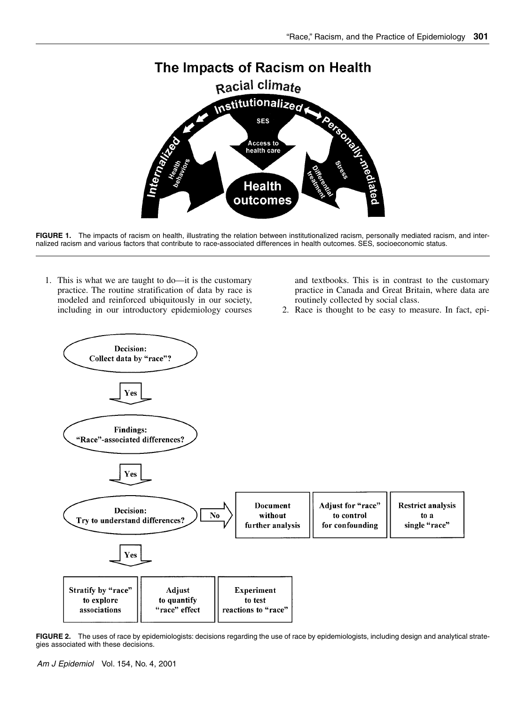

FIGURE 1. The impacts of racism on health, illustrating the relation between institutionalized racism, personally mediated racism, and internalized racism and various factors that contribute to race-associated differences in health outcomes. SES, socioeconomic status.

1. This is what we are taught to do—it is the customary practice. The routine stratification of data by race is modeled and reinforced ubiquitously in our society, including in our introductory epidemiology courses

and textbooks. This is in contrast to the customary practice in Canada and Great Britain, where data are routinely collected by social class.

2. Race is thought to be easy to measure. In fact, epi-



**FIGURE 2.** The uses of race by epidemiologists: decisions regarding the use of race by epidemiologists, including design and analytical strategies associated with these decisions.

*Am J Epidemiol* Vol. 154, No. 4, 2001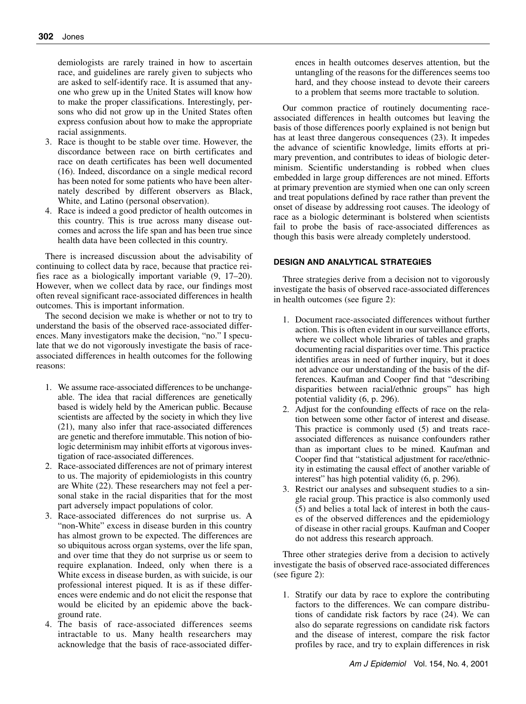demiologists are rarely trained in how to ascertain race, and guidelines are rarely given to subjects who are asked to self-identify race. It is assumed that anyone who grew up in the United States will know how to make the proper classifications. Interestingly, persons who did not grow up in the United States often express confusion about how to make the appropriate racial assignments.

- 3. Race is thought to be stable over time. However, the discordance between race on birth certificates and race on death certificates has been well documented (16). Indeed, discordance on a single medical record has been noted for some patients who have been alternately described by different observers as Black, White, and Latino (personal observation).
- 4. Race is indeed a good predictor of health outcomes in this country. This is true across many disease outcomes and across the life span and has been true since health data have been collected in this country.

There is increased discussion about the advisability of continuing to collect data by race, because that practice reifies race as a biologically important variable (9, 17–20). However, when we collect data by race, our findings most often reveal significant race-associated differences in health outcomes. This is important information.

The second decision we make is whether or not to try to understand the basis of the observed race-associated differences. Many investigators make the decision, "no." I speculate that we do not vigorously investigate the basis of raceassociated differences in health outcomes for the following reasons:

- 1. We assume race-associated differences to be unchangeable. The idea that racial differences are genetically based is widely held by the American public. Because scientists are affected by the society in which they live (21), many also infer that race-associated differences are genetic and therefore immutable. This notion of biologic determinism may inhibit efforts at vigorous investigation of race-associated differences.
- 2. Race-associated differences are not of primary interest to us. The majority of epidemiologists in this country are White (22). These researchers may not feel a personal stake in the racial disparities that for the most part adversely impact populations of color.
- 3. Race-associated differences do not surprise us. A "non-White" excess in disease burden in this country has almost grown to be expected. The differences are so ubiquitous across organ systems, over the life span, and over time that they do not surprise us or seem to require explanation. Indeed, only when there is a White excess in disease burden, as with suicide, is our professional interest piqued. It is as if these differences were endemic and do not elicit the response that would be elicited by an epidemic above the background rate.
- 4. The basis of race-associated differences seems intractable to us. Many health researchers may acknowledge that the basis of race-associated differ-

ences in health outcomes deserves attention, but the untangling of the reasons for the differences seems too hard, and they choose instead to devote their careers to a problem that seems more tractable to solution.

Our common practice of routinely documenting raceassociated differences in health outcomes but leaving the basis of those differences poorly explained is not benign but has at least three dangerous consequences (23). It impedes the advance of scientific knowledge, limits efforts at primary prevention, and contributes to ideas of biologic determinism. Scientific understanding is robbed when clues embedded in large group differences are not mined. Efforts at primary prevention are stymied when one can only screen and treat populations defined by race rather than prevent the onset of disease by addressing root causes. The ideology of race as a biologic determinant is bolstered when scientists fail to probe the basis of race-associated differences as though this basis were already completely understood.

# **DESIGN AND ANALYTICAL STRATEGIES**

Three strategies derive from a decision not to vigorously investigate the basis of observed race-associated differences in health outcomes (see figure 2):

- 1. Document race-associated differences without further action. This is often evident in our surveillance efforts, where we collect whole libraries of tables and graphs documenting racial disparities over time. This practice identifies areas in need of further inquiry, but it does not advance our understanding of the basis of the differences. Kaufman and Cooper find that "describing disparities between racial/ethnic groups" has high potential validity (6, p. 296).
- 2. Adjust for the confounding effects of race on the relation between some other factor of interest and disease. This practice is commonly used (5) and treats raceassociated differences as nuisance confounders rather than as important clues to be mined. Kaufman and Cooper find that "statistical adjustment for race/ethnicity in estimating the causal effect of another variable of interest" has high potential validity (6, p. 296).
- 3. Restrict our analyses and subsequent studies to a single racial group. This practice is also commonly used (5) and belies a total lack of interest in both the causes of the observed differences and the epidemiology of disease in other racial groups. Kaufman and Cooper do not address this research approach.

Three other strategies derive from a decision to actively investigate the basis of observed race-associated differences (see figure 2):

1. Stratify our data by race to explore the contributing factors to the differences. We can compare distributions of candidate risk factors by race (24). We can also do separate regressions on candidate risk factors and the disease of interest, compare the risk factor profiles by race, and try to explain differences in risk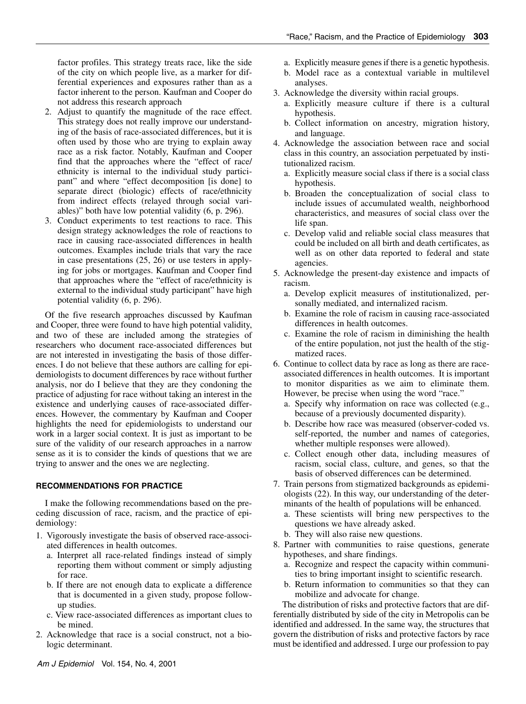factor profiles. This strategy treats race, like the side of the city on which people live, as a marker for differential experiences and exposures rather than as a factor inherent to the person. Kaufman and Cooper do not address this research approach

- 2. Adjust to quantify the magnitude of the race effect. This strategy does not really improve our understanding of the basis of race-associated differences, but it is often used by those who are trying to explain away race as a risk factor. Notably, Kaufman and Cooper find that the approaches where the "effect of race/ ethnicity is internal to the individual study participant" and where "effect decomposition [is done] to separate direct (biologic) effects of race/ethnicity from indirect effects (relayed through social variables)" both have low potential validity (6, p. 296).
- 3. Conduct experiments to test reactions to race. This design strategy acknowledges the role of reactions to race in causing race-associated differences in health outcomes. Examples include trials that vary the race in case presentations (25, 26) or use testers in applying for jobs or mortgages. Kaufman and Cooper find that approaches where the "effect of race/ethnicity is external to the individual study participant" have high potential validity (6, p. 296).

Of the five research approaches discussed by Kaufman and Cooper, three were found to have high potential validity, and two of these are included among the strategies of researchers who document race-associated differences but are not interested in investigating the basis of those differences. I do not believe that these authors are calling for epidemiologists to document differences by race without further analysis, nor do I believe that they are they condoning the practice of adjusting for race without taking an interest in the existence and underlying causes of race-associated differences. However, the commentary by Kaufman and Cooper highlights the need for epidemiologists to understand our work in a larger social context. It is just as important to be sure of the validity of our research approaches in a narrow sense as it is to consider the kinds of questions that we are trying to answer and the ones we are neglecting.

# **RECOMMENDATIONS FOR PRACTICE**

I make the following recommendations based on the preceding discussion of race, racism, and the practice of epidemiology:

- 1. Vigorously investigate the basis of observed race-associated differences in health outcomes.
	- a. Interpret all race-related findings instead of simply reporting them without comment or simply adjusting for race.
	- b. If there are not enough data to explicate a difference that is documented in a given study, propose followup studies.
	- c. View race-associated differences as important clues to be mined.
- 2. Acknowledge that race is a social construct, not a biologic determinant.
- a. Explicitly measure genes if there is a genetic hypothesis.
- b. Model race as a contextual variable in multilevel analyses.
- 3. Acknowledge the diversity within racial groups.
	- a. Explicitly measure culture if there is a cultural hypothesis.
	- b. Collect information on ancestry, migration history, and language.
- 4. Acknowledge the association between race and social class in this country, an association perpetuated by institutionalized racism.
	- a. Explicitly measure social class if there is a social class hypothesis.
	- b. Broaden the conceptualization of social class to include issues of accumulated wealth, neighborhood characteristics, and measures of social class over the life span.
	- c. Develop valid and reliable social class measures that could be included on all birth and death certificates, as well as on other data reported to federal and state agencies.
- 5. Acknowledge the present-day existence and impacts of racism.
	- a. Develop explicit measures of institutionalized, personally mediated, and internalized racism.
	- b. Examine the role of racism in causing race-associated differences in health outcomes.
	- c. Examine the role of racism in diminishing the health of the entire population, not just the health of the stigmatized races.
- 6. Continue to collect data by race as long as there are raceassociated differences in health outcomes. It is important to monitor disparities as we aim to eliminate them. However, be precise when using the word "race."
	- a. Specify why information on race was collected (e.g., because of a previously documented disparity).
	- b. Describe how race was measured (observer-coded vs. self-reported, the number and names of categories, whether multiple responses were allowed).
	- c. Collect enough other data, including measures of racism, social class, culture, and genes, so that the basis of observed differences can be determined.
- 7. Train persons from stigmatized backgrounds as epidemiologists (22). In this way, our understanding of the determinants of the health of populations will be enhanced.
	- a. These scientists will bring new perspectives to the questions we have already asked.
	- b. They will also raise new questions.
- 8. Partner with communities to raise questions, generate hypotheses, and share findings.
	- a. Recognize and respect the capacity within communities to bring important insight to scientific research.
	- b. Return information to communities so that they can mobilize and advocate for change.

The distribution of risks and protective factors that are differentially distributed by side of the city in Metropolis can be identified and addressed. In the same way, the structures that govern the distribution of risks and protective factors by race must be identified and addressed. I urge our profession to pay